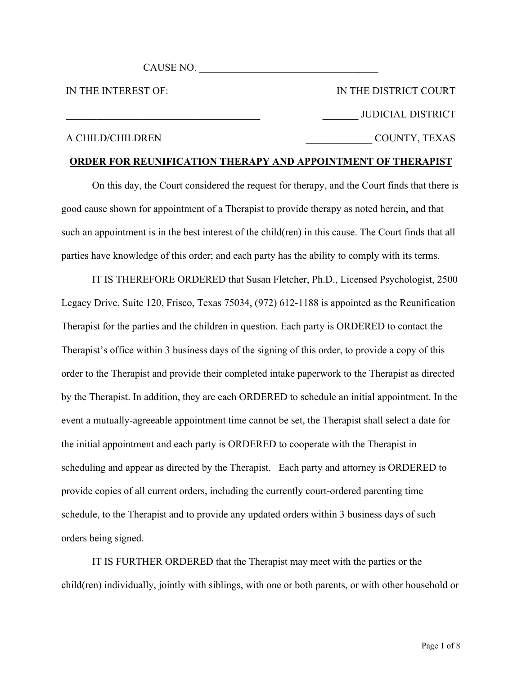CAUSE NO.

IN THE INTEREST OF:

IN THE DISTRICT COURT JUDICIAL DISTRICT \_\_\_\_\_\_\_\_\_\_\_\_\_ COUNTY, TEXAS

# A CHILD/CHILDREN

# **ORDER FOR REUNIFICATION THERAPY AND APPOINTMENT OF THERAPIST**

On this day, the Court considered the request for therapy, and the Court finds that there is good cause shown for appointment of a Therapist to provide therapy as noted herein, and that such an appointment is in the best interest of the child(ren) in this cause. The Court finds that all parties have knowledge of this order; and each party has the ability to comply with its terms.

IT IS THEREFORE ORDERED that Susan Fletcher, Ph.D., Licensed Psychologist, 2500 Legacy Drive, Suite 120, Frisco, Texas 75034, (972) 612-1188 is appointed as the Reunification Therapist for the parties and the children in question. Each party is ORDERED to contact the Therapist's office within 3 business days of the signing of this order, to provide a copy of this order to the Therapist and provide their completed intake paperwork to the Therapist as directed by the Therapist. In addition, they are each ORDERED to schedule an initial appointment. In the event a mutually-agreeable appointment time cannot be set, the Therapist shall select a date for the initial appointment and each party is ORDERED to cooperate with the Therapist in scheduling and appear as directed by the Therapist. Each party and attorney is ORDERED to provide copies of all current orders, including the currently court-ordered parenting time schedule, to the Therapist and to provide any updated orders within 3 business days of such orders being signed.

IT IS FURTHER ORDERED that the Therapist may meet with the parties or the child(ren) individually, jointly with siblings, with one or both parents, or with other household or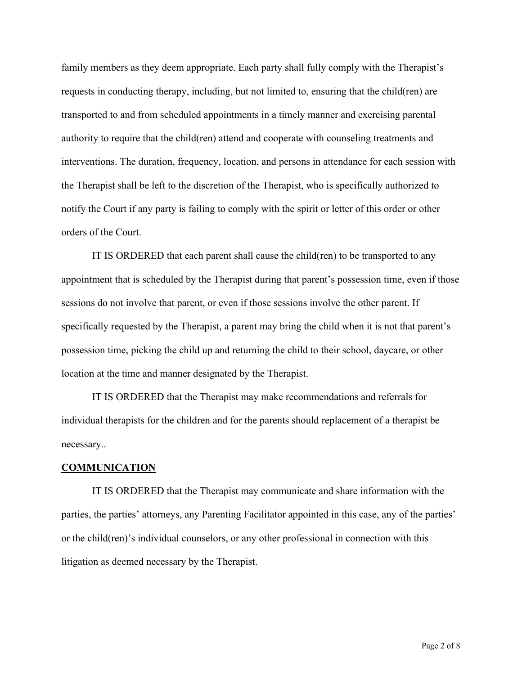family members as they deem appropriate. Each party shall fully comply with the Therapist's requests in conducting therapy, including, but not limited to, ensuring that the child(ren) are transported to and from scheduled appointments in a timely manner and exercising parental authority to require that the child(ren) attend and cooperate with counseling treatments and interventions. The duration, frequency, location, and persons in attendance for each session with the Therapist shall be left to the discretion of the Therapist, who is specifically authorized to notify the Court if any party is failing to comply with the spirit or letter of this order or other orders of the Court.

IT IS ORDERED that each parent shall cause the child(ren) to be transported to any appointment that is scheduled by the Therapist during that parent's possession time, even if those sessions do not involve that parent, or even if those sessions involve the other parent. If specifically requested by the Therapist, a parent may bring the child when it is not that parent's possession time, picking the child up and returning the child to their school, daycare, or other location at the time and manner designated by the Therapist.

IT IS ORDERED that the Therapist may make recommendations and referrals for individual therapists for the children and for the parents should replacement of a therapist be necessary..

#### **COMMUNICATION**

IT IS ORDERED that the Therapist may communicate and share information with the parties, the parties' attorneys, any Parenting Facilitator appointed in this case, any of the parties' or the child(ren)'s individual counselors, or any other professional in connection with this litigation as deemed necessary by the Therapist.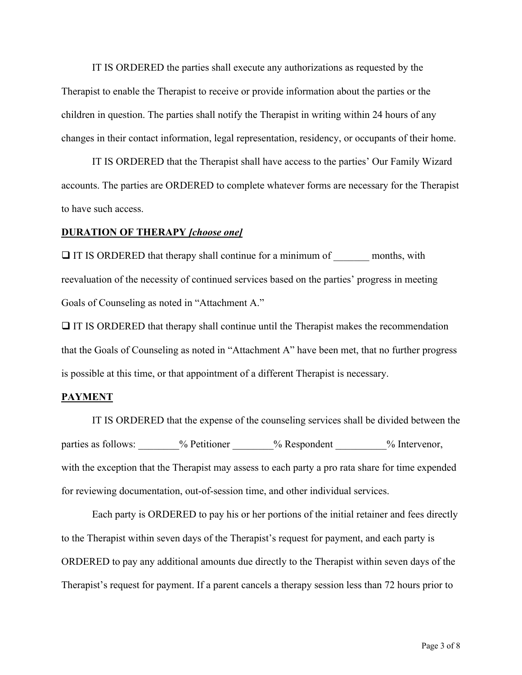IT IS ORDERED the parties shall execute any authorizations as requested by the Therapist to enable the Therapist to receive or provide information about the parties or the children in question. The parties shall notify the Therapist in writing within 24 hours of any changes in their contact information, legal representation, residency, or occupants of their home.

IT IS ORDERED that the Therapist shall have access to the parties' Our Family Wizard accounts. The parties are ORDERED to complete whatever forms are necessary for the Therapist to have such access.

#### **DURATION OF THERAPY** *[choose one]*

 $\Box$  IT IS ORDERED that therapy shall continue for a minimum of months, with reevaluation of the necessity of continued services based on the parties' progress in meeting Goals of Counseling as noted in "Attachment A."

 $\Box$  IT IS ORDERED that therapy shall continue until the Therapist makes the recommendation that the Goals of Counseling as noted in "Attachment A" have been met, that no further progress is possible at this time, or that appointment of a different Therapist is necessary.

#### **PAYMENT**

IT IS ORDERED that the expense of the counseling services shall be divided between the parties as follows:  $\frac{9}{6}$  Petitioner  $\frac{9}{6}$  Respondent  $\frac{9}{6}$  Intervenor, with the exception that the Therapist may assess to each party a pro rata share for time expended for reviewing documentation, out-of-session time, and other individual services.

Each party is ORDERED to pay his or her portions of the initial retainer and fees directly to the Therapist within seven days of the Therapist's request for payment, and each party is ORDERED to pay any additional amounts due directly to the Therapist within seven days of the Therapist's request for payment. If a parent cancels a therapy session less than 72 hours prior to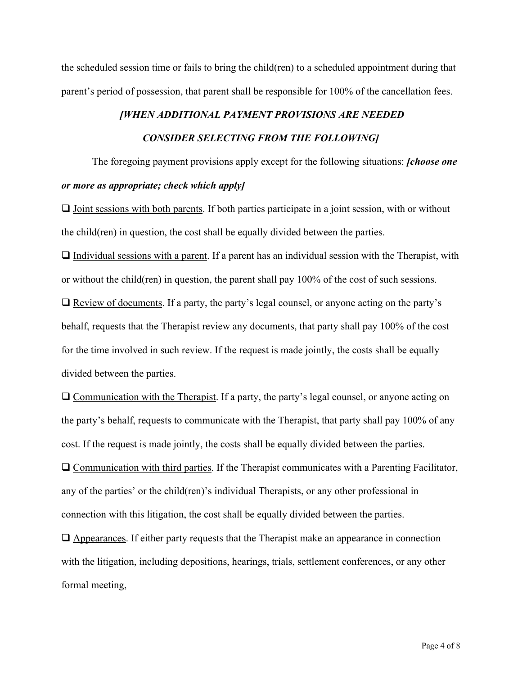the scheduled session time or fails to bring the child(ren) to a scheduled appointment during that parent's period of possession, that parent shall be responsible for 100% of the cancellation fees.

# *[WHEN ADDITIONAL PAYMENT PROVISIONS ARE NEEDED CONSIDER SELECTING FROM THE FOLLOWING]*

The foregoing payment provisions apply except for the following situations: *[choose one or more as appropriate; check which apply]*

 $\Box$  Joint sessions with both parents. If both parties participate in a joint session, with or without the child(ren) in question, the cost shall be equally divided between the parties.

 $\Box$  Individual sessions with a parent. If a parent has an individual session with the Therapist, with or without the child(ren) in question, the parent shall pay 100% of the cost of such sessions.  $\Box$  Review of documents. If a party, the party's legal counsel, or anyone acting on the party's behalf, requests that the Therapist review any documents, that party shall pay 100% of the cost for the time involved in such review. If the request is made jointly, the costs shall be equally divided between the parties.

 $\Box$  Communication with the Therapist. If a party, the party's legal counsel, or anyone acting on the party's behalf, requests to communicate with the Therapist, that party shall pay 100% of any cost. If the request is made jointly, the costs shall be equally divided between the parties.  $\Box$  Communication with third parties. If the Therapist communicates with a Parenting Facilitator, any of the parties' or the child(ren)'s individual Therapists, or any other professional in connection with this litigation, the cost shall be equally divided between the parties.

 $\Box$  Appearances. If either party requests that the Therapist make an appearance in connection with the litigation, including depositions, hearings, trials, settlement conferences, or any other formal meeting,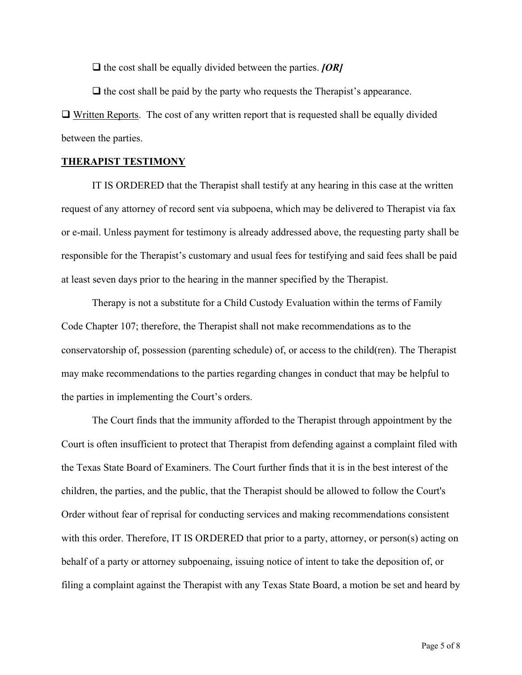$\Box$  the cost shall be equally divided between the parties. *[OR]* 

 $\Box$  the cost shall be paid by the party who requests the Therapist's appearance.  $\Box$  Written Reports. The cost of any written report that is requested shall be equally divided between the parties.

### **THERAPIST TESTIMONY**

IT IS ORDERED that the Therapist shall testify at any hearing in this case at the written request of any attorney of record sent via subpoena, which may be delivered to Therapist via fax or e-mail. Unless payment for testimony is already addressed above, the requesting party shall be responsible for the Therapist's customary and usual fees for testifying and said fees shall be paid at least seven days prior to the hearing in the manner specified by the Therapist.

Therapy is not a substitute for a Child Custody Evaluation within the terms of Family Code Chapter 107; therefore, the Therapist shall not make recommendations as to the conservatorship of, possession (parenting schedule) of, or access to the child(ren). The Therapist may make recommendations to the parties regarding changes in conduct that may be helpful to the parties in implementing the Court's orders.

The Court finds that the immunity afforded to the Therapist through appointment by the Court is often insufficient to protect that Therapist from defending against a complaint filed with the Texas State Board of Examiners. The Court further finds that it is in the best interest of the children, the parties, and the public, that the Therapist should be allowed to follow the Court's Order without fear of reprisal for conducting services and making recommendations consistent with this order. Therefore, IT IS ORDERED that prior to a party, attorney, or person(s) acting on behalf of a party or attorney subpoenaing, issuing notice of intent to take the deposition of, or filing a complaint against the Therapist with any Texas State Board, a motion be set and heard by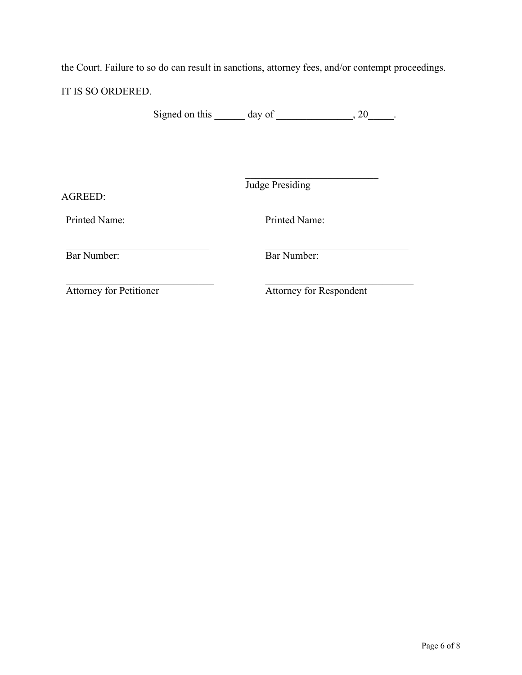the Court. Failure to so do can result in sanctions, attorney fees, and/or contempt proceedings.

IT IS SO ORDERED.

Signed on this  $\_\_\_\_\$  day of  $\_\_\_\_\_\$ , 20 $\_\_\_\_\$ .

Judge Presiding

AGREED:

Printed Name:

Printed Name:

Bar Number:

Bar Number:

Attorney for Petitioner

Attorney for Respondent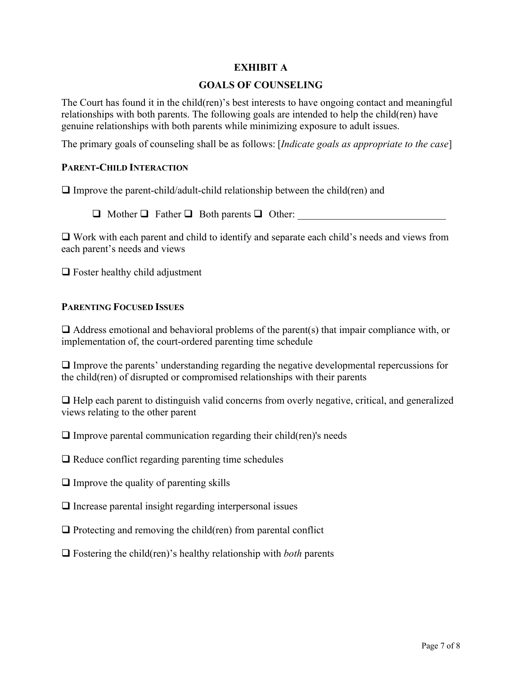# **EXHIBIT A**

# **GOALS OF COUNSELING**

The Court has found it in the child(ren)'s best interests to have ongoing contact and meaningful relationships with both parents. The following goals are intended to help the child(ren) have genuine relationships with both parents while minimizing exposure to adult issues.

The primary goals of counseling shall be as follows: [*Indicate goals as appropriate to the case*]

# **PARENT-CHILD INTERACTION**

 $\Box$  Improve the parent-child/adult-child relationship between the child(ren) and

 $\Box$  Mother  $\Box$  Father  $\Box$  Both parents  $\Box$  Other:

 $\Box$  Work with each parent and child to identify and separate each child's needs and views from each parent's needs and views

 $\Box$  Foster healthy child adjustment

## **PARENTING FOCUSED ISSUES**

 $\Box$  Address emotional and behavioral problems of the parent(s) that impair compliance with, or implementation of, the court-ordered parenting time schedule

 $\Box$  Improve the parents' understanding regarding the negative developmental repercussions for the child(ren) of disrupted or compromised relationships with their parents

 $\Box$  Help each parent to distinguish valid concerns from overly negative, critical, and generalized views relating to the other parent

 $\Box$  Improve parental communication regarding their child(ren)'s needs

 $\Box$  Reduce conflict regarding parenting time schedules

- $\Box$  Improve the quality of parenting skills
- $\Box$  Increase parental insight regarding interpersonal issues
- $\Box$  Protecting and removing the child(ren) from parental conflict
- $\Box$  Fostering the child(ren)'s healthy relationship with *both* parents